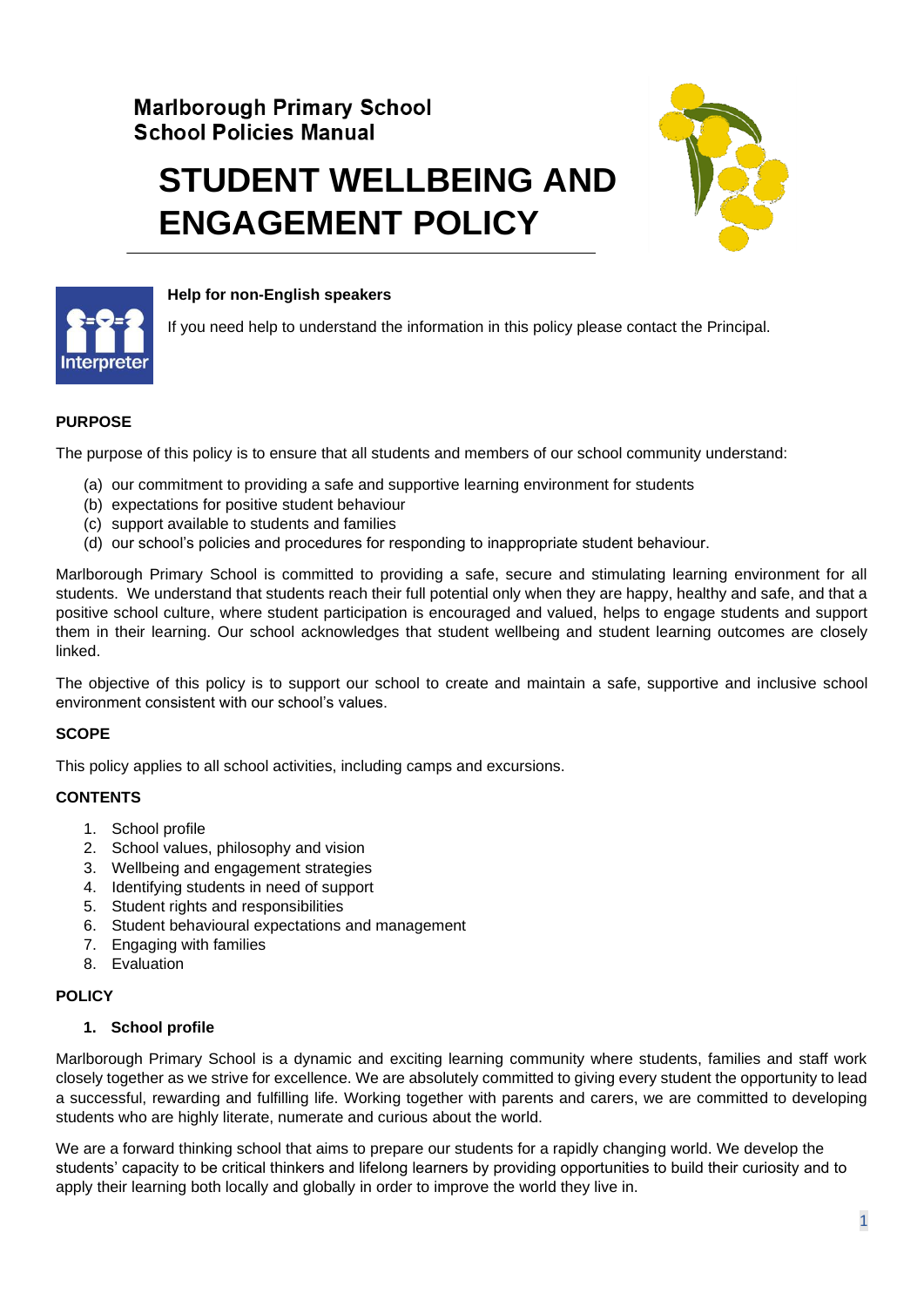# **Marlborough Primary School School Policies Manual**

# **STUDENT WELLBEING AND ENGAGEMENT POLICY**





#### **Help for non-English speakers**

If you need help to understand the information in this policy please contact the Principal.

# **PURPOSE**

The purpose of this policy is to ensure that all students and members of our school community understand:

- (a) our commitment to providing a safe and supportive learning environment for students
- (b) expectations for positive student behaviour
- (c) support available to students and families
- (d) our school's policies and procedures for responding to inappropriate student behaviour.

Marlborough Primary School is committed to providing a safe, secure and stimulating learning environment for all students. We understand that students reach their full potential only when they are happy, healthy and safe, and that a positive school culture, where student participation is encouraged and valued, helps to engage students and support them in their learning. Our school acknowledges that student wellbeing and student learning outcomes are closely linked.

The objective of this policy is to support our school to create and maintain a safe, supportive and inclusive school environment consistent with our school's values.

# **SCOPE**

This policy applies to all school activities, including camps and excursions.

# **CONTENTS**

- 1. School profile
- 2. School values, philosophy and vision
- 3. Wellbeing and engagement strategies
- 4. Identifying students in need of support
- 5. Student rights and responsibilities
- 6. Student behavioural expectations and management
- 7. Engaging with families
- 8. Evaluation

# **POLICY**

#### **1. School profile**

Marlborough Primary School is a dynamic and exciting learning community where students, families and staff work closely together as we strive for excellence. We are absolutely committed to giving every student the opportunity to lead a successful, rewarding and fulfilling life. Working together with parents and carers, we are committed to developing students who are highly literate, numerate and curious about the world.

We are a forward thinking school that aims to prepare our students for a rapidly changing world. We develop the students' capacity to be critical thinkers and lifelong learners by providing opportunities to build their curiosity and to apply their learning both locally and globally in order to improve the world they live in.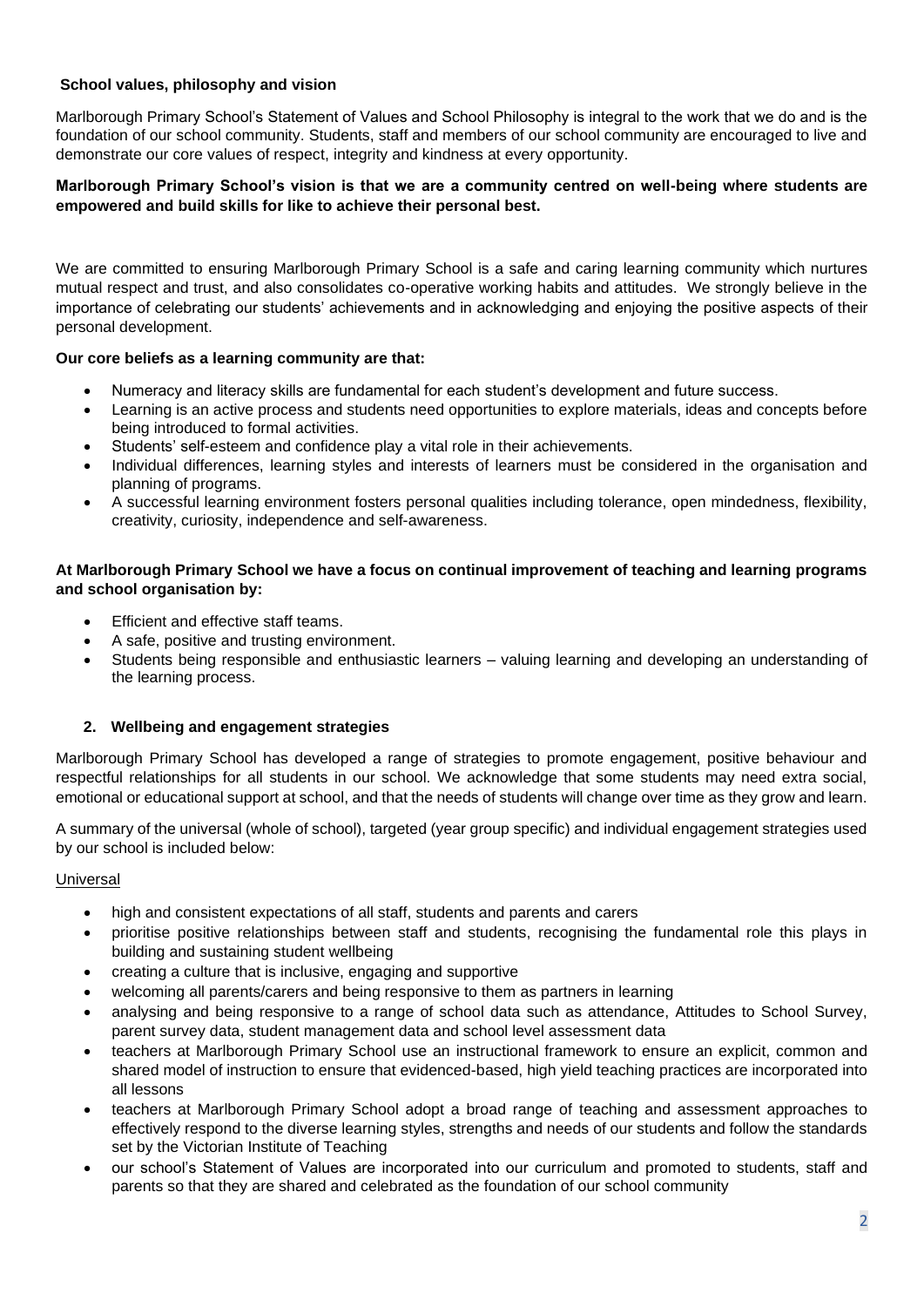# **School values, philosophy and vision**

Marlborough Primary School's Statement of Values and School Philosophy is integral to the work that we do and is the foundation of our school community. Students, staff and members of our school community are encouraged to live and demonstrate our core values of respect, integrity and kindness at every opportunity.

#### **Marlborough Primary School's vision is that we are a community centred on well-being where students are empowered and build skills for like to achieve their personal best.**

We are committed to ensuring Marlborough Primary School is a safe and caring learning community which nurtures mutual respect and trust, and also consolidates co-operative working habits and attitudes. We strongly believe in the importance of celebrating our students' achievements and in acknowledging and enjoying the positive aspects of their personal development.

# **Our core beliefs as a learning community are that:**

- Numeracy and literacy skills are fundamental for each student's development and future success.
- Learning is an active process and students need opportunities to explore materials, ideas and concepts before being introduced to formal activities.
- Students' self-esteem and confidence play a vital role in their achievements.
- Individual differences, learning styles and interests of learners must be considered in the organisation and planning of programs.
- A successful learning environment fosters personal qualities including tolerance, open mindedness, flexibility, creativity, curiosity, independence and self-awareness.

# **At Marlborough Primary School we have a focus on continual improvement of teaching and learning programs and school organisation by:**

- Efficient and effective staff teams.
- A safe, positive and trusting environment.
- Students being responsible and enthusiastic learners valuing learning and developing an understanding of the learning process.

#### **2. Wellbeing and engagement strategies**

Marlborough Primary School has developed a range of strategies to promote engagement, positive behaviour and respectful relationships for all students in our school. We acknowledge that some students may need extra social, emotional or educational support at school, and that the needs of students will change over time as they grow and learn.

A summary of the universal (whole of school), targeted (year group specific) and individual engagement strategies used by our school is included below:

#### **Universal**

- high and consistent expectations of all staff, students and parents and carers
- prioritise positive relationships between staff and students, recognising the fundamental role this plays in building and sustaining student wellbeing
- creating a culture that is inclusive, engaging and supportive
- welcoming all parents/carers and being responsive to them as partners in learning
- analysing and being responsive to a range of school data such as attendance, Attitudes to School Survey, parent survey data, student management data and school level assessment data
- teachers at Marlborough Primary School use an instructional framework to ensure an explicit, common and shared model of instruction to ensure that evidenced-based, high yield teaching practices are incorporated into all lessons
- teachers at Marlborough Primary School adopt a broad range of teaching and assessment approaches to effectively respond to the diverse learning styles, strengths and needs of our students and follow the standards set by the Victorian Institute of Teaching
- our school's Statement of Values are incorporated into our curriculum and promoted to students, staff and parents so that they are shared and celebrated as the foundation of our school community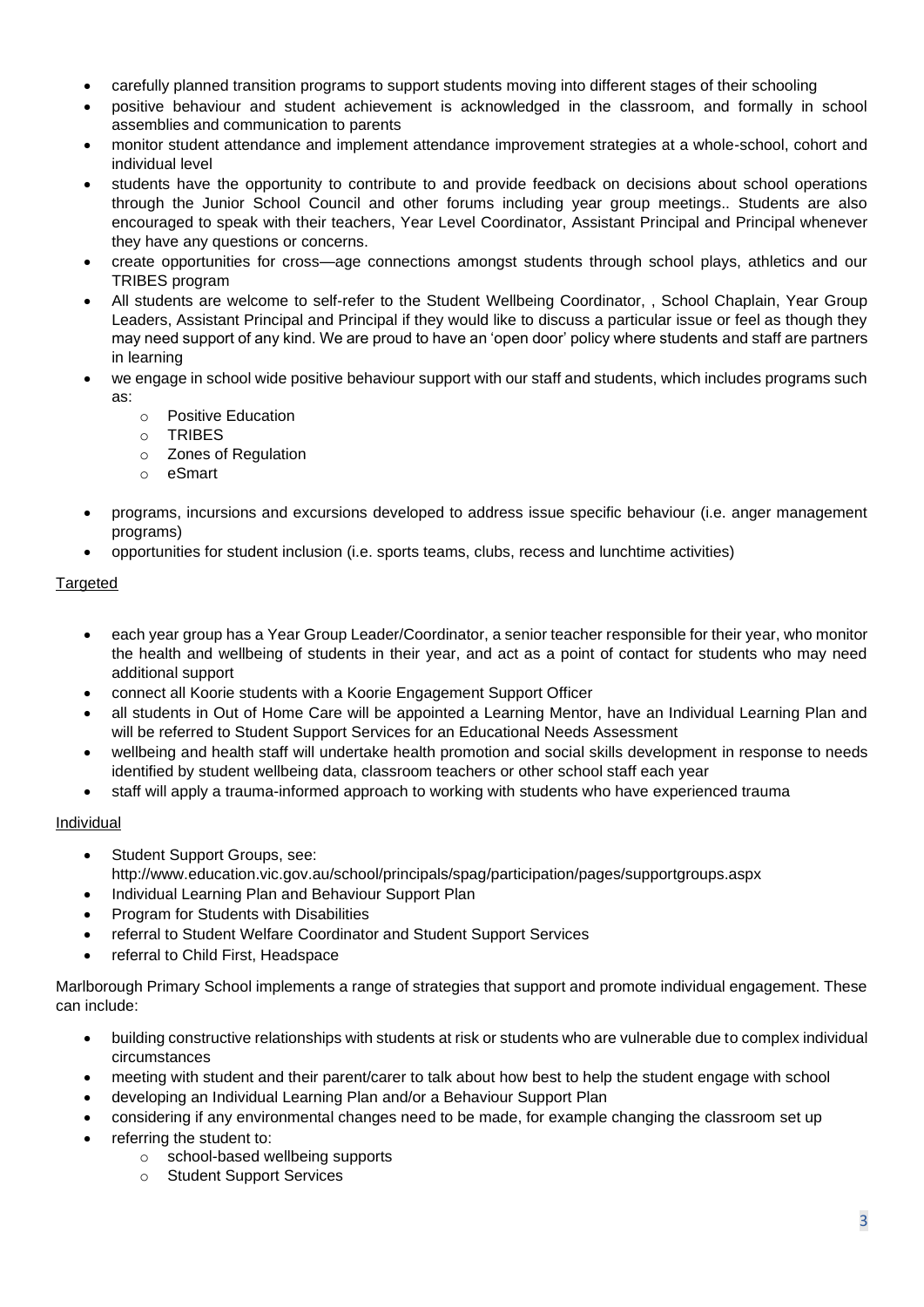- carefully planned transition programs to support students moving into different stages of their schooling
- positive behaviour and student achievement is acknowledged in the classroom, and formally in school assemblies and communication to parents
- monitor student attendance and implement attendance improvement strategies at a whole-school, cohort and individual level
- students have the opportunity to contribute to and provide feedback on decisions about school operations through the Junior School Council and other forums including year group meetings.. Students are also encouraged to speak with their teachers, Year Level Coordinator, Assistant Principal and Principal whenever they have any questions or concerns.
- create opportunities for cross—age connections amongst students through school plays, athletics and our TRIBES program
- All students are welcome to self-refer to the Student Wellbeing Coordinator, , School Chaplain, Year Group Leaders, Assistant Principal and Principal if they would like to discuss a particular issue or feel as though they may need support of any kind. We are proud to have an 'open door' policy where students and staff are partners in learning
- we engage in school wide positive behaviour support with our staff and students, which includes programs such as:
	- o Positive Education
	- o TRIBES
	- o Zones of Regulation
	- o eSmart
- programs, incursions and excursions developed to address issue specific behaviour (i.e. anger management programs)
- opportunities for student inclusion (i.e. sports teams, clubs, recess and lunchtime activities)

# **Targeted**

- each year group has a Year Group Leader/Coordinator, a senior teacher responsible for their year, who monitor the health and wellbeing of students in their year, and act as a point of contact for students who may need additional support
- connect all Koorie students with a Koorie Engagement Support Officer
- all students in Out of Home Care will be appointed a Learning Mentor, have an Individual Learning Plan and will be referred to Student Support Services for an Educational Needs Assessment
- wellbeing and health staff will undertake health promotion and social skills development in response to needs identified by student wellbeing data, classroom teachers or other school staff each year
- staff will apply a trauma-informed approach to working with students who have experienced trauma

# Individual

- Student Support Groups, see: http://www.education.vic.gov.au/school/principals/spag/participation/pages/supportgroups.aspx
- Individual Learning Plan and Behaviour Support Plan
- Program for Students with Disabilities
- referral to Student Welfare Coordinator and Student Support Services
- referral to Child First, Headspace

Marlborough Primary School implements a range of strategies that support and promote individual engagement. These can include:

- building constructive relationships with students at risk or students who are vulnerable due to complex individual circumstances
- meeting with student and their parent/carer to talk about how best to help the student engage with school
- developing an Individual Learning Plan and/or a Behaviour Support Plan
- considering if any environmental changes need to be made, for example changing the classroom set up
- referring the student to:
	- o school-based wellbeing supports
	- o Student Support Services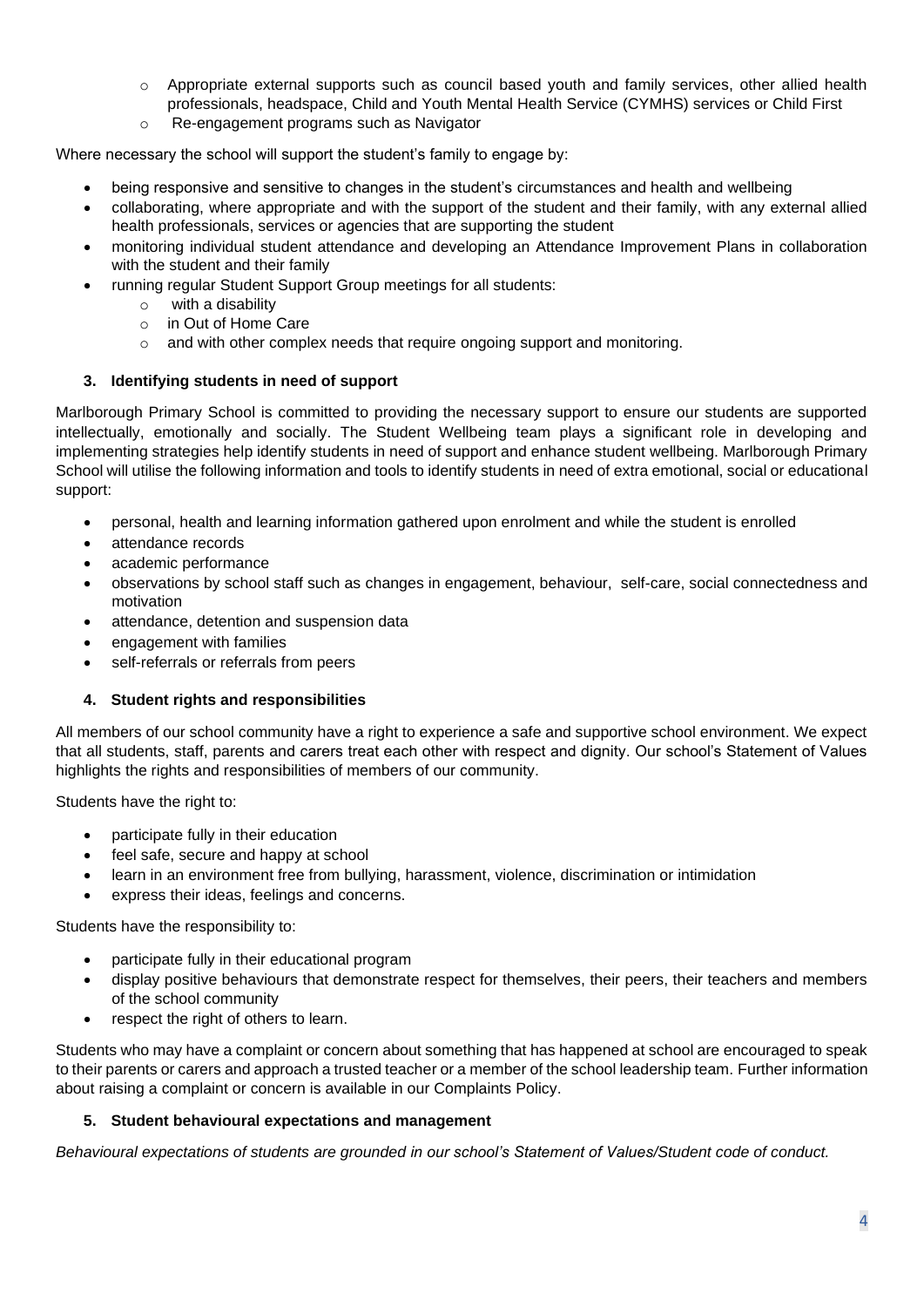- o Appropriate external supports such as council based youth and family services, other allied health professionals, headspace, Child and Youth Mental Health Service (CYMHS) services or Child First
- o Re-engagement programs such as Navigator

Where necessary the school will support the student's family to engage by:

- being responsive and sensitive to changes in the student's circumstances and health and wellbeing
- collaborating, where appropriate and with the support of the student and their family, with any external allied health professionals, services or agencies that are supporting the student
- monitoring individual student attendance and developing an Attendance Improvement Plans in collaboration with the student and their family
- running regular Student Support Group meetings for all students:
	- o with a disability
	- o in Out of Home Care
	- $\circ$  and with other complex needs that require ongoing support and monitoring.

# **3. Identifying students in need of support**

Marlborough Primary School is committed to providing the necessary support to ensure our students are supported intellectually, emotionally and socially. The Student Wellbeing team plays a significant role in developing and implementing strategies help identify students in need of support and enhance student wellbeing. Marlborough Primary School will utilise the following information and tools to identify students in need of extra emotional, social or educational support:

- personal, health and learning information gathered upon enrolment and while the student is enrolled
- attendance records
- academic performance
- observations by school staff such as changes in engagement, behaviour, self-care, social connectedness and motivation
- attendance, detention and suspension data
- engagement with families
- self-referrals or referrals from peers

#### **4. Student rights and responsibilities**

All members of our school community have a right to experience a safe and supportive school environment. We expect that all students, staff, parents and carers treat each other with respect and dignity. Our school's Statement of Values highlights the rights and responsibilities of members of our community.

Students have the right to:

- participate fully in their education
- feel safe, secure and happy at school
- learn in an environment free from bullying, harassment, violence, discrimination or intimidation
- express their ideas, feelings and concerns.

Students have the responsibility to:

- participate fully in their educational program
- display positive behaviours that demonstrate respect for themselves, their peers, their teachers and members of the school community
- respect the right of others to learn.

Students who may have a complaint or concern about something that has happened at school are encouraged to speak to their parents or carers and approach a trusted teacher or a member of the school leadership team. Further information about raising a complaint or concern is available in our Complaints Policy.

#### **5. Student behavioural expectations and management**

*Behavioural expectations of students are grounded in our school's Statement of Values/Student code of conduct.*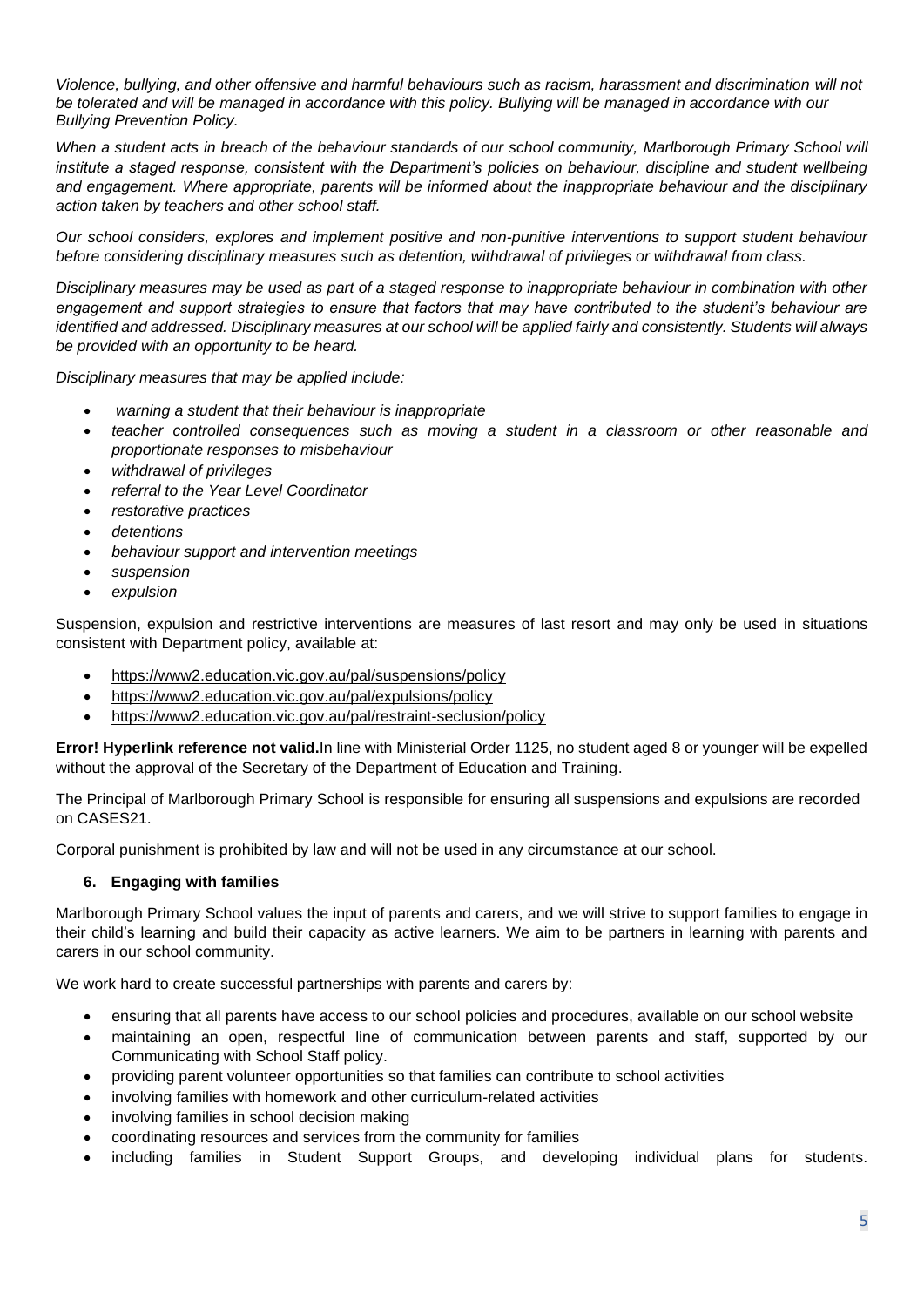*Violence, bullying, and other offensive and harmful behaviours such as racism, harassment and discrimination will not be tolerated and will be managed in accordance with this policy. Bullying will be managed in accordance with our Bullying Prevention Policy.*

*When a student acts in breach of the behaviour standards of our school community, Marlborough Primary School will institute a staged response, consistent with the Department's policies on behaviour, discipline and student wellbeing and engagement. Where appropriate, parents will be informed about the inappropriate behaviour and the disciplinary action taken by teachers and other school staff.* 

*Our school considers, explores and implement positive and non-punitive interventions to support student behaviour before considering disciplinary measures such as detention, withdrawal of privileges or withdrawal from class.*

*Disciplinary measures may be used as part of a staged response to inappropriate behaviour in combination with other engagement and support strategies to ensure that factors that may have contributed to the student's behaviour are identified and addressed. Disciplinary measures at our school will be applied fairly and consistently. Students will always be provided with an opportunity to be heard.* 

*Disciplinary measures that may be applied include:*

- *warning a student that their behaviour is inappropriate*
- *teacher controlled consequences such as moving a student in a classroom or other reasonable and proportionate responses to misbehaviour*
- *withdrawal of privileges*
- *referral to the Year Level Coordinator*
- *restorative practices*
- *detentions*
- *behaviour support and intervention meetings*
- *suspension*
- *expulsion*

Suspension, expulsion and restrictive interventions are measures of last resort and may only be used in situations consistent with Department policy, available at:

- <https://www2.education.vic.gov.au/pal/suspensions/policy>
- <https://www2.education.vic.gov.au/pal/expulsions/policy>
- <https://www2.education.vic.gov.au/pal/restraint-seclusion/policy>

**Error! Hyperlink reference not valid.**In line with Ministerial Order 1125, no student aged 8 or younger will be expelled without the approval of the Secretary of the Department of Education and Training.

The Principal of Marlborough Primary School is responsible for ensuring all suspensions and expulsions are recorded on CASES21.

Corporal punishment is prohibited by law and will not be used in any circumstance at our school.

#### **6. Engaging with families**

Marlborough Primary School values the input of parents and carers, and we will strive to support families to engage in their child's learning and build their capacity as active learners. We aim to be partners in learning with parents and carers in our school community.

We work hard to create successful partnerships with parents and carers by:

- ensuring that all parents have access to our school policies and procedures, available on our school website
- maintaining an open, respectful line of communication between parents and staff, supported by our Communicating with School Staff policy.
- providing parent volunteer opportunities so that families can contribute to school activities
- involving families with homework and other curriculum-related activities
- involving families in school decision making
- coordinating resources and services from the community for families
- including families in Student Support Groups, and developing individual plans for students.